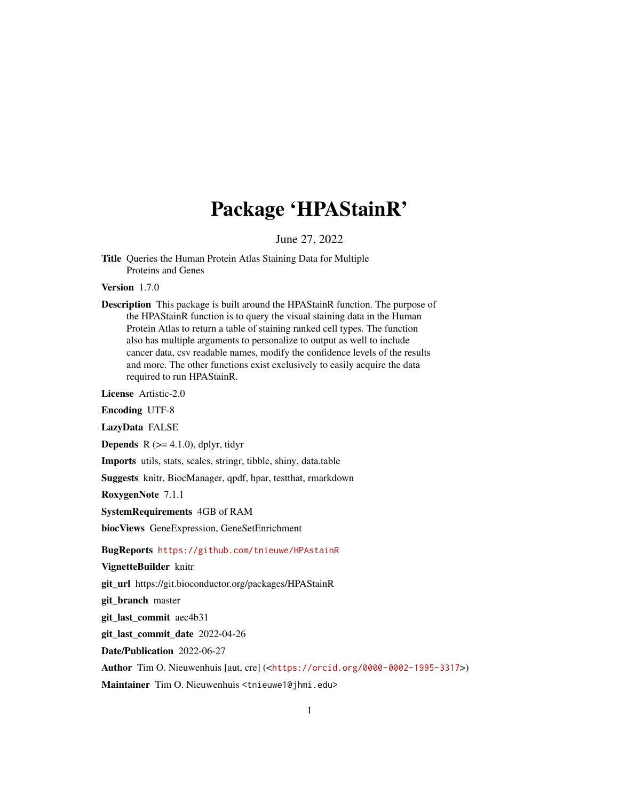# Package 'HPAStainR'

June 27, 2022

Title Queries the Human Protein Atlas Staining Data for Multiple Proteins and Genes

Version 1.7.0

Description This package is built around the HPAStainR function. The purpose of the HPAStainR function is to query the visual staining data in the Human Protein Atlas to return a table of staining ranked cell types. The function also has multiple arguments to personalize to output as well to include cancer data, csv readable names, modify the confidence levels of the results and more. The other functions exist exclusively to easily acquire the data required to run HPAStainR.

License Artistic-2.0

Encoding UTF-8

LazyData FALSE

**Depends** R  $(>= 4.1.0)$ , dplyr, tidyr

Imports utils, stats, scales, stringr, tibble, shiny, data.table

Suggests knitr, BiocManager, qpdf, hpar, testthat, rmarkdown

RoxygenNote 7.1.1

SystemRequirements 4GB of RAM

biocViews GeneExpression, GeneSetEnrichment

BugReports <https://github.com/tnieuwe/HPAstainR>

VignetteBuilder knitr

git\_url https://git.bioconductor.org/packages/HPAStainR

git\_branch master

git\_last\_commit aec4b31

git\_last\_commit\_date 2022-04-26

Date/Publication 2022-06-27

Author Tim O. Nieuwenhuis [aut, cre] (<<https://orcid.org/0000-0002-1995-3317>>)

Maintainer Tim O. Nieuwenhuis <tnieuwe1@jhmi.edu>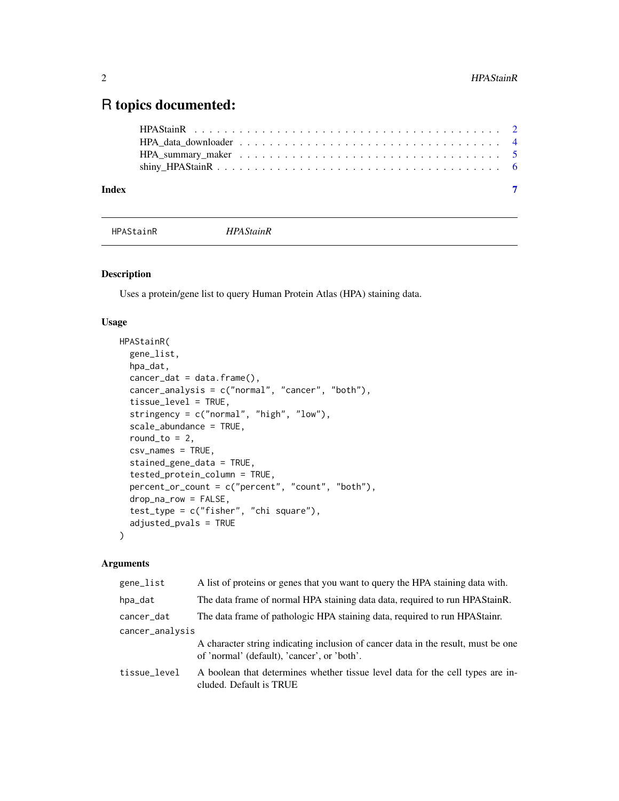# <span id="page-1-0"></span>R topics documented:

| Index |  |  |  |  |  |  |  |  |  |  |  |  |  |  |  |  |  |  |
|-------|--|--|--|--|--|--|--|--|--|--|--|--|--|--|--|--|--|--|

HPAStainR *HPAStainR*

# Description

Uses a protein/gene list to query Human Protein Atlas (HPA) staining data.

# Usage

```
HPAStainR(
  gene_list,
  hpa_dat,
  cancer_data = data.frame(),cancer_analysis = c("normal", "cancer", "both"),
  tissue_level = TRUE,
  stringency = c("normal", "high", "low"),
  scale_abundance = TRUE,
  round_to = 2,
  csv_names = TRUE,
  stained_gene_data = TRUE,
  tested_protein_column = TRUE,
  percent_or_count = c("percent", "count", "both"),
  drop_na_row = FALSE,
  test_type = c("fisher", "chi square"),
  adjusted_pvals = TRUE
)
```
# Arguments

| gene_list       | A list of proteins or genes that you want to query the HPA staining data with.                                                   |
|-----------------|----------------------------------------------------------------------------------------------------------------------------------|
| hpa_dat         | The data frame of normal HPA staining data data, required to run HPA Stain R.                                                    |
| cancer_dat      | The data frame of pathologic HPA staining data, required to run HPAStain.                                                        |
| cancer_analysis |                                                                                                                                  |
|                 | A character string indicating inclusion of cancer data in the result, must be one<br>of 'normal' (default), 'cancer', or 'both'. |
| tissue_level    | A boolean that determines whether tissue level data for the cell types are in-<br>cluded. Default is TRUE                        |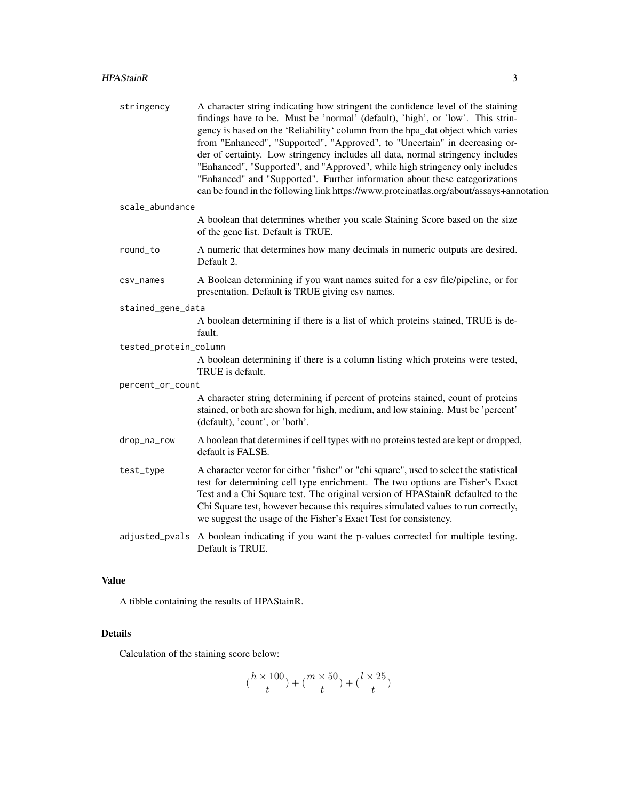| stringency            | A character string indicating how stringent the confidence level of the staining<br>findings have to be. Must be 'normal' (default), 'high', or 'low'. This strin-<br>gency is based on the 'Reliability' column from the hpa_dat object which varies<br>from "Enhanced", "Supported", "Approved", to "Uncertain" in decreasing or-<br>der of certainty. Low stringency includes all data, normal stringency includes<br>"Enhanced", "Supported", and "Approved", while high stringency only includes<br>"Enhanced" and "Supported". Further information about these categorizations<br>can be found in the following link https://www.proteinatlas.org/about/assays+annotation |
|-----------------------|---------------------------------------------------------------------------------------------------------------------------------------------------------------------------------------------------------------------------------------------------------------------------------------------------------------------------------------------------------------------------------------------------------------------------------------------------------------------------------------------------------------------------------------------------------------------------------------------------------------------------------------------------------------------------------|
| scale_abundance       |                                                                                                                                                                                                                                                                                                                                                                                                                                                                                                                                                                                                                                                                                 |
|                       | A boolean that determines whether you scale Staining Score based on the size<br>of the gene list. Default is TRUE.                                                                                                                                                                                                                                                                                                                                                                                                                                                                                                                                                              |
| round_to              | A numeric that determines how many decimals in numeric outputs are desired.<br>Default 2.                                                                                                                                                                                                                                                                                                                                                                                                                                                                                                                                                                                       |
| csv_names             | A Boolean determining if you want names suited for a csv file/pipeline, or for<br>presentation. Default is TRUE giving csv names.                                                                                                                                                                                                                                                                                                                                                                                                                                                                                                                                               |
| stained_gene_data     |                                                                                                                                                                                                                                                                                                                                                                                                                                                                                                                                                                                                                                                                                 |
|                       | A boolean determining if there is a list of which proteins stained, TRUE is de-<br>fault.                                                                                                                                                                                                                                                                                                                                                                                                                                                                                                                                                                                       |
| tested_protein_column |                                                                                                                                                                                                                                                                                                                                                                                                                                                                                                                                                                                                                                                                                 |
|                       | A boolean determining if there is a column listing which proteins were tested,<br>TRUE is default.                                                                                                                                                                                                                                                                                                                                                                                                                                                                                                                                                                              |
| percent_or_count      |                                                                                                                                                                                                                                                                                                                                                                                                                                                                                                                                                                                                                                                                                 |
|                       | A character string determining if percent of proteins stained, count of proteins<br>stained, or both are shown for high, medium, and low staining. Must be 'percent'<br>(default), 'count', or 'both'.                                                                                                                                                                                                                                                                                                                                                                                                                                                                          |
| drop_na_row           | A boolean that determines if cell types with no proteins tested are kept or dropped,<br>default is FALSE.                                                                                                                                                                                                                                                                                                                                                                                                                                                                                                                                                                       |
| test_type             | A character vector for either "fisher" or "chi square", used to select the statistical<br>test for determining cell type enrichment. The two options are Fisher's Exact<br>Test and a Chi Square test. The original version of HPAStainR defaulted to the<br>Chi Square test, however because this requires simulated values to run correctly,<br>we suggest the usage of the Fisher's Exact Test for consistency.                                                                                                                                                                                                                                                              |
|                       | adjusted_pvals A boolean indicating if you want the p-values corrected for multiple testing.<br>Default is TRUE.                                                                                                                                                                                                                                                                                                                                                                                                                                                                                                                                                                |

# Value

A tibble containing the results of HPAStainR.

# Details

Calculation of the staining score below:

$$
(\frac{h\times 100}{t})+(\frac{m\times 50}{t})+(\frac{l\times 25}{t})
$$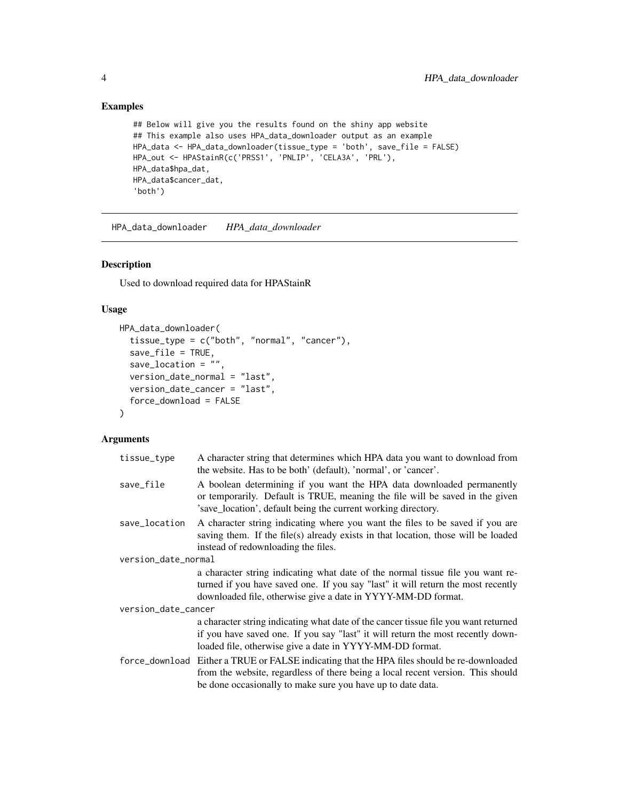# Examples

```
## Below will give you the results found on the shiny app website
## This example also uses HPA_data_downloader output as an example
HPA_data <- HPA_data_downloader(tissue_type = 'both', save_file = FALSE)
HPA_out <- HPAStainR(c('PRSS1', 'PNLIP', 'CELA3A', 'PRL'),
HPA_data$hpa_dat,
HPA_data$cancer_dat,
'both')
```
HPA\_data\_downloader *HPA\_data\_downloader*

#### Description

Used to download required data for HPAStainR

#### Usage

```
HPA_data_downloader(
  tissue_type = c("both", "normal", "cancer"),
  save_file = TRUE,
  save_location = ",
  version_date_normal = "last",
  version_date_cancer = "last",
  force_download = FALSE
\mathcal{L}
```
# Arguments

| tissue_type         | A character string that determines which HPA data you want to download from<br>the website. Has to be both' (default), 'normal', or 'cancer'.                                                                                                 |
|---------------------|-----------------------------------------------------------------------------------------------------------------------------------------------------------------------------------------------------------------------------------------------|
| save_file           | A boolean determining if you want the HPA data downloaded permanently<br>or temporarily. Default is TRUE, meaning the file will be saved in the given<br>'save_location', default being the current working directory.                        |
| save_location       | A character string indicating where you want the files to be saved if you are<br>saving them. If the file(s) already exists in that location, those will be loaded<br>instead of redownloading the files.                                     |
| version_date_normal |                                                                                                                                                                                                                                               |
|                     | a character string indicating what date of the normal tissue file you want re-<br>turned if you have saved one. If you say "last" it will return the most recently<br>downloaded file, otherwise give a date in YYYY-MM-DD format.            |
| version_date_cancer |                                                                                                                                                                                                                                               |
|                     | a character string indicating what date of the cancer tissue file you want returned<br>if you have saved one. If you say "last" it will return the most recently down-<br>loaded file, otherwise give a date in YYYY-MM-DD format.            |
|                     | force_download Either a TRUE or FALSE indicating that the HPA files should be re-downloaded<br>from the website, regardless of there being a local recent version. This should<br>be done occasionally to make sure you have up to date data. |

<span id="page-3-0"></span>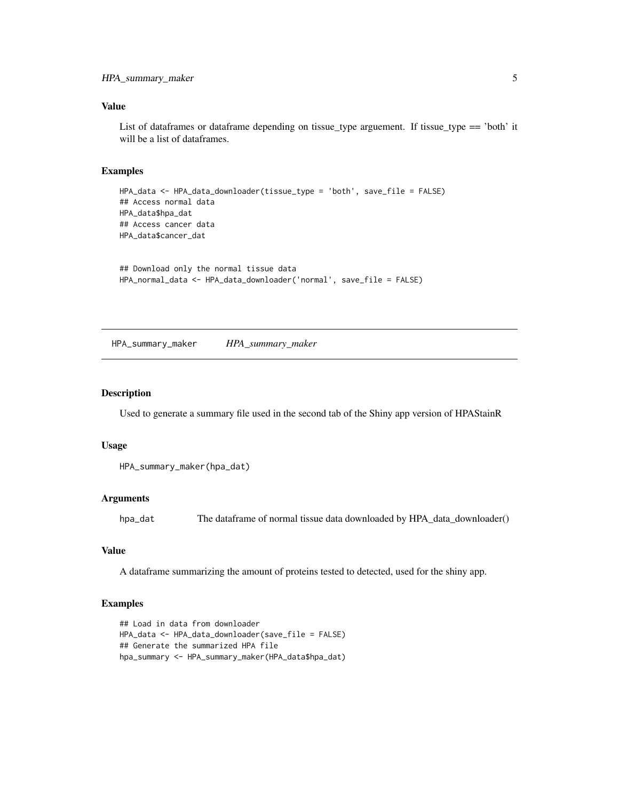#### <span id="page-4-0"></span>Value

List of dataframes or dataframe depending on tissue\_type arguement. If tissue\_type == 'both' it will be a list of dataframes.

#### Examples

```
HPA_data <- HPA_data_downloader(tissue_type = 'both', save_file = FALSE)
## Access normal data
HPA_data$hpa_dat
## Access cancer data
HPA_data$cancer_dat
```

```
## Download only the normal tissue data
HPA_normal_data <- HPA_data_downloader('normal', save_file = FALSE)
```
HPA\_summary\_maker *HPA\_summary\_maker*

#### Description

Used to generate a summary file used in the second tab of the Shiny app version of HPAStainR

#### Usage

```
HPA_summary_maker(hpa_dat)
```
#### Arguments

hpa\_dat The dataframe of normal tissue data downloaded by HPA\_data\_downloader()

# Value

A dataframe summarizing the amount of proteins tested to detected, used for the shiny app.

#### Examples

```
## Load in data from downloader
HPA_data <- HPA_data_downloader(save_file = FALSE)
## Generate the summarized HPA file
hpa_summary <- HPA_summary_maker(HPA_data$hpa_dat)
```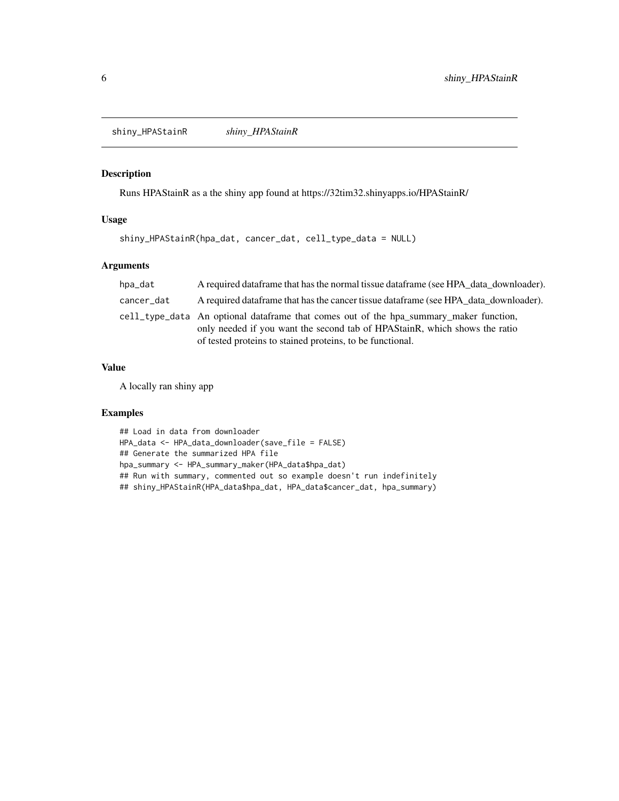<span id="page-5-0"></span>shiny\_HPAStainR *shiny\_HPAStainR*

# Description

Runs HPAStainR as a the shiny app found at https://32tim32.shinyapps.io/HPAStainR/

# Usage

```
shiny_HPAStainR(hpa_dat, cancer_dat, cell_type_data = NULL)
```
# Arguments

| hpa_dat    | A required data frame that has the normal tissue data frame (see HPA data downloader).                                                                                                                                             |
|------------|------------------------------------------------------------------------------------------------------------------------------------------------------------------------------------------------------------------------------------|
| cancer_dat | A required data frame that has the cancer tissue data frame (see HPA data downloader).                                                                                                                                             |
|            | cell type data An optional data frame that comes out of the hpa summary maker function,<br>only needed if you want the second tab of HPAStainR, which shows the ratio<br>of tested proteins to stained proteins, to be functional. |

# Value

A locally ran shiny app

# Examples

## Load in data from downloader HPA\_data <- HPA\_data\_downloader(save\_file = FALSE) ## Generate the summarized HPA file hpa\_summary <- HPA\_summary\_maker(HPA\_data\$hpa\_dat) ## Run with summary, commented out so example doesn't run indefinitely ## shiny\_HPAStainR(HPA\_data\$hpa\_dat, HPA\_data\$cancer\_dat, hpa\_summary)